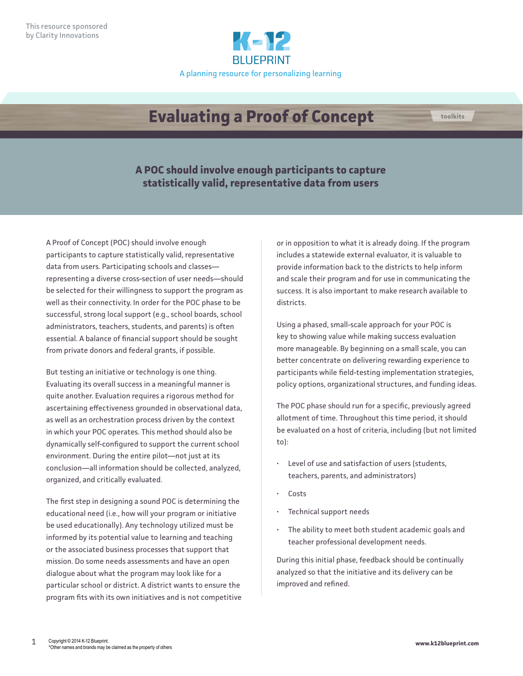

## **Evaluating a Proof of Concept**

**A POC should involve enough participants to capture statistically valid, representative data from users**

A Proof of Concept (POC) should involve enough participants to capture statistically valid, representative data from users. Participating schools and classes representing a diverse cross-section of user needs—should be selected for their willingness to support the program as well as their connectivity. In order for the POC phase to be successful, strong local support (e.g., school boards, school administrators, teachers, students, and parents) is often essential. A balance of financial support should be sought from private donors and federal grants, if possible.

But testing an initiative or technology is one thing. Evaluating its overall success in a meaningful manner is quite another. Evaluation requires a rigorous method for ascertaining effectiveness grounded in observational data, as well as an orchestration process driven by the context in which your POC operates. This method should also be dynamically self-configured to support the current school environment. During the entire pilot—not just at its conclusion—all information should be collected, analyzed, organized, and critically evaluated.

The first step in designing a sound POC is determining the educational need (i.e., how will your program or initiative be used educationally). Any technology utilized must be informed by its potential value to learning and teaching or the associated business processes that support that mission. Do some needs assessments and have an open dialogue about what the program may look like for a particular school or district. A district wants to ensure the program fits with its own initiatives and is not competitive or in opposition to what it is already doing. If the program includes a statewide external evaluator, it is valuable to provide information back to the districts to help inform and scale their program and for use in communicating the success. It is also important to make research available to districts.

Using a phased, small-scale approach for your POC is key to showing value while making success evaluation more manageable. By beginning on a small scale, you can better concentrate on delivering rewarding experience to participants while field-testing implementation strategies, policy options, organizational structures, and funding ideas.

The POC phase should run for a specific, previously agreed allotment of time. Throughout this time period, it should be evaluated on a host of criteria, including (but not limited to):

- Level of use and satisfaction of users (students, teachers, parents, and administrators)
- Costs
- Technical support needs
- The ability to meet both student academic goals and teacher professional development needs.

During this initial phase, feedback should be continually analyzed so that the initiative and its delivery can be improved and refined.